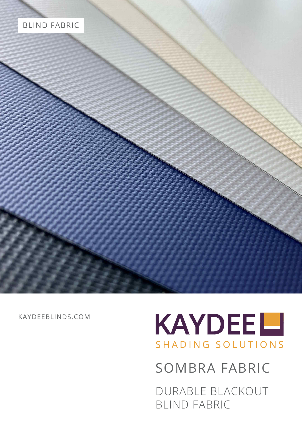### BLIND FABRIC





SOMBRA FABRIC

DURABLE BLACKOUT BLIND FABRIC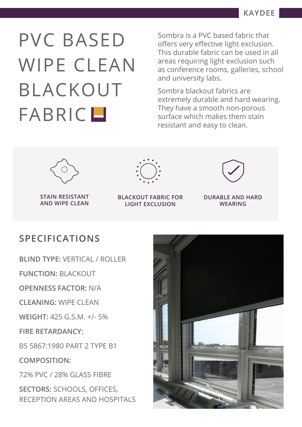# PVC BASED WIPE CLEAN BLACKOUT FABRIC<sup>L</sup>

Sombra is a PVC based fabric that offers very effective light exclusion. This durable fabric can be used in all areas requiring light exclusion such as conference rooms, galleries, school and university labs.

Sombra blackout fabrics are extremely durable and hard wearing. They have a smooth non-porous surface which makes them stain resistant and easy to clean.



**STAIN RESISTANT AND WIPE CLEAN**



#### **BLACKOUT FABRIC FOR LIGHT EXCLUSION**



#### **DURABLE AND HARD WEARING**

## **SPECIFICATIONS**

**BLIND TYPE:** VERTICAL / ROLLER

**FUNCTION:** BLACKOUT

**OPENNESS FACTOR:** N/A

**CLEANING:** WIPE CLEAN

**WEIGHT:** 425 G.S.M. +/- 5%

**FIRE RETARDANCY:**

BS 5867:1980 PART 2 TYPE B1

**COMPOSITION:**

72% PVC / 28% GLASS FIBRE

**SECTORS:** SCHOOLS, OFFICES, RECEPTION AREAS AND HOSPITALS

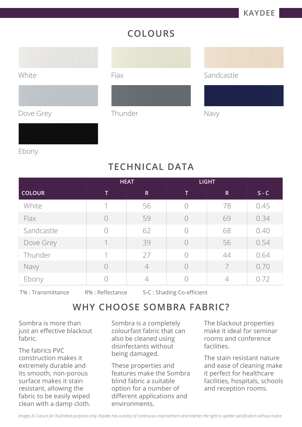# **COLOURS**

#### White

Dove Grey

Ebony

#### Flax







# **TECHNICAL DATA**

|               | <b>HEAT</b>    |                | <b>LIGHT</b> |                          |         |
|---------------|----------------|----------------|--------------|--------------------------|---------|
| <b>COLOUR</b> | т              | $\mathsf{R}$   | T            | $\mathsf{R}$             | $S - C$ |
| White         | 1              | 56             | $\bigcap$    | 78                       | 0.45    |
| Flax          | $\bigcap$      | 59             | $\bigcap$    | 69                       | 0.34    |
| Sandcastle    | $\bigcap$      | 62             | $\bigcap$    | 68                       | 0.40    |
| Dove Grey     | $\overline{1}$ | 39             | $\bigcap$    | 56                       | 0.54    |
| Thunder       | 1              | 27             | $\bigcap$    | 44                       | 0.64    |
| Navy          | $\bigcap$      | $\overline{4}$ | $\bigcap$    | $\overline{7}$           | 0.70    |
| Ebony         |                | 4              |              | $\overline{\mathcal{A}}$ | 0.72    |

T% : Transmittance R% : Reflectance S-C : Shading Co-efficient

## **WHY CHOOSE SOMBRA FABRIC?**

Sombra is more than just an effective blackout fabric.

The fabrics PVC construction makes it extremely durable and its smooth, non-porous surface makes it stain resistant, allowing the fabric to be easily wiped clean with a damp cloth. Sombra is a completely colourfast fabric that can also be cleaned using disinfectants without being damaged.

These properties and features make the Sombra blind fabric a suitable option for a number of different applications and environments.

The blackout properties make it ideal for seminar rooms and conference facilities.

The stain resistant nature and ease of cleaning make it perfect for healthcare facilities, hospitals, schools and reception rooms.